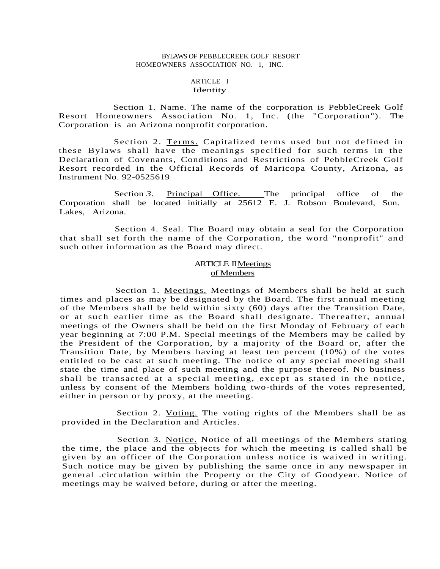## BYLAWS OF PEBBLECREEK GOLF RESORT HOMEOWNERS ASSOCIATION NO. 1, INC.

#### ARTICLE I **Identity**

Section 1. Name. The name of the corporation is PebbleCreek Golf Resort Homeowners Association No. 1, Inc. (the "Corporation"). The Corporation is an Arizona nonprofit corporation.

Section 2. Terms. Capitalized terms used but not defined in these Bylaws shall have the meanings specified for such terms in the Declaration of Covenants, Conditions and Restrictions of PebbleCreek Golf Resort recorded in the Official Records of Maricopa County, Arizona, as Instrument No. 92-0525619

Section 3. Principal Office. The principal office of the Corporation shall be located initially at 25612 E. J. Robson Boulevard, Sun. Lakes, Arizona.

Section 4. Seal. The Board may obtain a seal for the Corporation that shall set forth the name of the Corporation, the word "nonprofit" and such other information as the Board may direct.

# ARTICLE II Meetings of Members

Section 1. Meetings. Meetings of Members shall be held at such times and places as may be designated by the Board. The first annual meeting of the Members shall be held within sixty (60) days after the Transition Date, or at such earlier time as the Board shall designate. Thereafter, annual meetings of the Owners shall be held on the first Monday of February of each year beginning at 7:00 P.M. Special meetings of the Members may be called by the President of the Corporation, by a majority of the Board or, after the Transition Date, by Members having at least ten percent (10%) of the votes entitled to be cast at such meeting. The notice of any special meeting shall state the time and place of such meeting and the purpose thereof. No business shall be transacted at a special meeting, except as stated in the notice, unless by consent of the Members holding two-thirds of the votes represented, either in person or by proxy, at the meeting.

Section 2. Voting. The voting rights of the Members shall be as provided in the Declaration and Articles.

Section 3*.* Notice. Notice of all meetings of the Members stating the time, the place and the objects for which the meeting is called shall be given by an officer of the Corporation unless notice is waived in writing. Such notice may be given by publishing the same once in any newspaper in general .circulation within the Property or the City of Goodyear. Notice of meetings may be waived before, during or after the meeting.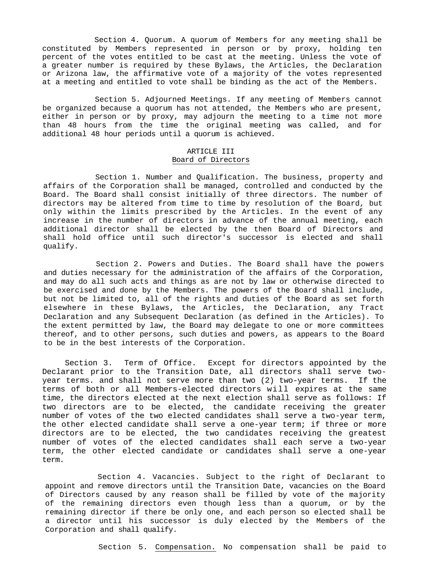Section 4. Quorum. A quorum of Members for any meeting shall be constituted by Members represented in person or by proxy, holding ten percent of the votes entitled to be cast at the meeting. Unless the vote of a greater number is required by these Bylaws, the Articles, the Declaration or Arizona law, the affirmative vote of a majority of the votes represented at a meeting and entitled to vote shall be binding as the act of the Members.

Section 5. Adjourned Meetings. If any meeting of Members cannot be organized because a quorum has not attended, the Members who are present, either in person or by proxy, may adjourn the meeting to a time not more than 48 hours from the time the original meeting was called, and for additional 48 hour periods until a quorum is achieved.

## ARTICLE III Board of Directors

Section 1. Number and Qualification. The business, property and affairs of the Corporation shall be managed, controlled and conducted by the Board. The Board shall consist initially of three directors. The number of directors may be altered from time to time by resolution of the Board, but only within the limits prescribed by the Articles. In the event of any increase in the number of directors in advance of the annual meeting, each additional director shall be elected by the then Board of Directors and shall hold office until such director's successor is elected and shall qualify.

Section 2. Powers and Duties. The Board shall have the powers and duties necessary for the administration of the affairs of the Corporation, and may do all such acts and things as are not by law or otherwise directed to be exercised and done by the Members. The powers of the Board shall include, but not be limited to, all of the rights and duties of the Board as set forth elsewhere in these Bylaws, the Articles, the Declaration, any Tract Declaration and any Subsequent Declaration (as defined in the Articles). To the extent permitted by law, the Board may delegate to one or more committees thereof, and to other persons, such duties and powers, as appears to the Board to be in the best interests of the Corporation.

Section 3. Term of Office. Except for directors appointed by the Declarant prior to the Transition Date, all directors shall serve twoyear terms. and shall not serve more than two (2) two-year terms. If the terms of both or all Members-elected directors will expires at the same time, the directors elected at the next election shall serve as follows: If two directors are to be elected, the candidate receiving the greater number of votes of the two elected candidates shall serve a two-year term, the other elected candidate shall serve a one-year term; if three or more directors are to be elected, the two candidates receiving the greatest number of votes of the elected candidates shall each serve a two-year term, the other elected candidate or candidates shall serve a one-year term.

Section 4. Vacancies. Subject to the right of Declarant to appoint and remove directors until the Transition Date, vacancies on the Board of Directors caused by any reason shall be filled by vote of the majority of the remaining directors even though less than a quorum, or by the remaining director if there be only one, and each person so elected shall be a director until his successor is duly elected by the Members of the Corporation and shall qualify.

Section 5. Compensation. No compensation shall be paid to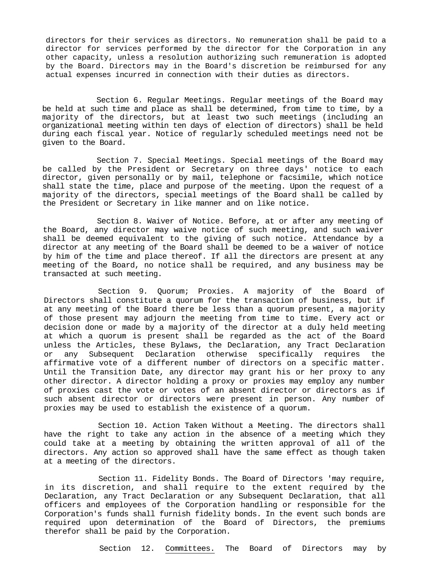directors for their services as directors. No remuneration shall be paid to a director for services performed by the director for the Corporation in any other capacity, unless a resolution authorizing such remuneration is adopted by the Board. Directors may in the Board's discretion be reimbursed for any actual expenses incurred in connection with their duties as directors.

Section 6. Regular Meetings. Regular meetings of the Board may be held at such time and place as shall be determined, from time to time, by a majority of the directors, but at least two such meetings (including an organizational meeting within ten days of election of directors) shall be held during each fiscal year. Notice of regularly scheduled meetings need not be given to the Board.

Section 7. Special Meetings. Special meetings of the Board may be called by the President or Secretary on three days' notice to each director, given personally or by mail, telephone or facsimile, which notice shall state the time, place and purpose of the meeting. Upon the request of a majority of the directors, special meetings of the Board shall be called by the President or Secretary in like manner and on like notice.

Section 8. Waiver of Notice. Before, at or after any meeting of the Board, any director may waive notice of such meeting, and such waiver shall be deemed equivalent to the giving of such notice. Attendance by a director at any meeting of the Board shall be deemed to be a waiver of notice by him of the time and place thereof. If all the directors are present at any meeting of the Board, no notice shall be required, and any business may be transacted at such meeting.

Section 9*.* Quorum; Proxies. A majority of the Board of Directors shall constitute a quorum for the transaction of business, but if at any meeting of the Board there be less than a quorum present, a majority of those present may adjourn the meeting from time to time. Every act or decision done or made by a majority of the director at a duly held meeting at which a quorum is present shall be regarded as the act of the Board unless the Articles, these Bylaws, the Declaration, any Tract Declaration or any Subsequent Declaration otherwise specifically requires the affirmative vote of a different number of directors on a specific matter. Until the Transition Date, any director may grant his or her proxy to any other director. A director holding a proxy or proxies may employ any number of proxies cast the vote or votes of an absent director or directors as if such absent director or directors were present in person. Any number of proxies may be used to establish the existence of a quorum.

Section 10. Action Taken Without a Meeting. The directors shall have the right to take any action in the absence of a meeting which they could take at a meeting by obtaining the written approval of all of the directors. Any action so approved shall have the same effect as though taken at a meeting of the directors.

Section 11. Fidelity Bonds. The Board of Directors 'may require, in its discretion, and shall require to the extent required by the Declaration, any Tract Declaration or any Subsequent Declaration, that all officers and employees of the Corporation handling or responsible for the Corporation's funds shall furnish fidelity bonds. In the event such bonds are required upon determination of the Board of Directors, the premiums therefor shall be paid by the Corporation.

Section 12. Committees. The Board of Directors may by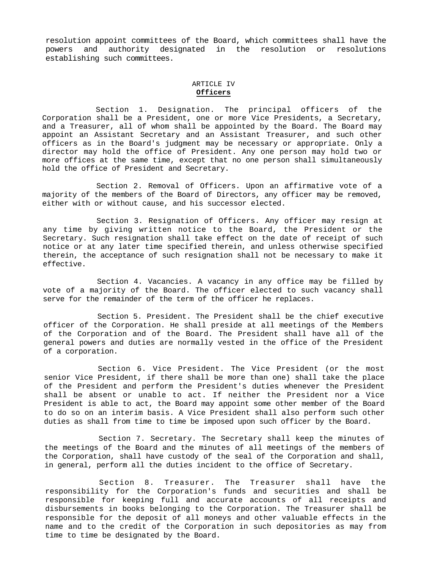resolution appoint committees of the Board, which committees shall have the powers and authority designated in the resolution or resolutions establishing such committees.

#### ARTICLE IV **Officers**

Section 1. Designation. The principal officers of the Corporation shall be a President, one or more Vice Presidents, a Secretary, and a Treasurer, all of whom shall be appointed by the Board. The Board may appoint an Assistant Secretary and an Assistant Treasurer, and such other officers as in the Board's judgment may be necessary or appropriate. Only a director may hold the office of President. Any one person may hold two or more offices at the same time, except that no one person shall simultaneously hold the office of President and Secretary.

Section 2. Removal of Officers. Upon an affirmative vote of a majority of the members of the Board of Directors, any officer may be removed, either with or without cause, and his successor elected.

Section 3. Resignation of Officers. Any officer may resign at any time by giving written notice to the Board, the President or the Secretary. Such resignation shall take effect on the date of receipt of such notice or at any later time specified therein, and unless otherwise specified therein, the acceptance of such resignation shall not be necessary to make it effective.

Section 4. Vacancies. A vacancy in any office may be filled by vote of a majority of the Board. The officer elected to such vacancy shall serve for the remainder of the term of the officer he replaces.

Section 5. President. The President shall be the chief executive officer of the Corporation. He shall preside at all meetings of the Members of the Corporation and of the Board. The President shall have all of the general powers and duties are normally vested in the office of the President of a corporation.

Section 6. Vice President. The Vice President (or the most senior Vice President, if there shall be more than one) shall take the place of the President and perform the President's duties whenever the President shall be absent or unable to act. If neither the President nor a Vice President is able to act, the Board may appoint some other member of the Board to do so on an interim basis. A Vice President shall also perform such other duties as shall from time to time be imposed upon such officer by the Board.

Section 7. Secretary. The Secretary shall keep the minutes of the meetings of the Board and the minutes of all meetings of the members of the Corporation, shall have custody of the seal of the Corporation and shall, in general, perform all the duties incident to the office of Secretary.

Section 8. Treasurer. The Treasurer shall have the responsibility for the Corporation's funds and securities and shall be responsible for keeping full and accurate accounts of all receipts and disbursements in books belonging to the Corporation. The Treasurer shall be responsible for the deposit of all moneys and other valuable effects in the name and to the credit of the Corporation in such depositories as may from time to time be designated by the Board.